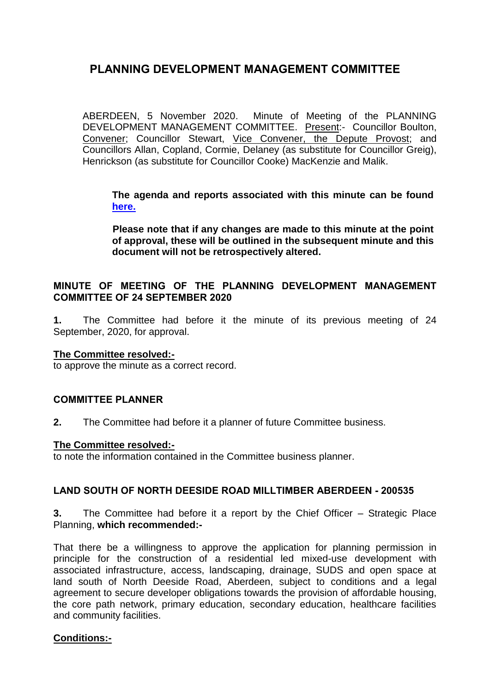ABERDEEN, 5 November 2020. Minute of Meeting of the PLANNING DEVELOPMENT MANAGEMENT COMMITTEE. Present:- Councillor Boulton, Convener; Councillor Stewart, Vice Convener, the Depute Provost; and Councillors Allan, Copland, Cormie, Delaney (as substitute for Councillor Greig), Henrickson (as substitute for Councillor Cooke) MacKenzie and Malik.

**The agenda and reports associated with this minute can be found [here.](https://committees.aberdeencity.gov.uk/ieListDocuments.aspx?CId=348&MId=7096&Ver=4)**

**Please note that if any changes are made to this minute at the point of approval, these will be outlined in the subsequent minute and this document will not be retrospectively altered.**

## **MINUTE OF MEETING OF THE PLANNING DEVELOPMENT MANAGEMENT COMMITTEE OF 24 SEPTEMBER 2020**

**1.** The Committee had before it the minute of its previous meeting of 24 September, 2020, for approval.

## **The Committee resolved:-**

to approve the minute as a correct record.

## **COMMITTEE PLANNER**

**2.** The Committee had before it a planner of future Committee business.

#### **The Committee resolved:-**

to note the information contained in the Committee business planner.

## **LAND SOUTH OF NORTH DEESIDE ROAD MILLTIMBER ABERDEEN - 200535**

**3.** The Committee had before it a report by the Chief Officer – Strategic Place Planning, **which recommended:-**

That there be a willingness to approve the application for planning permission in principle for the construction of a residential led mixed-use development with associated infrastructure, access, landscaping, drainage, SUDS and open space at land south of North Deeside Road, Aberdeen, subject to conditions and a legal agreement to secure developer obligations towards the provision of affordable housing, the core path network, primary education, secondary education, healthcare facilities and community facilities.

## **Conditions:-**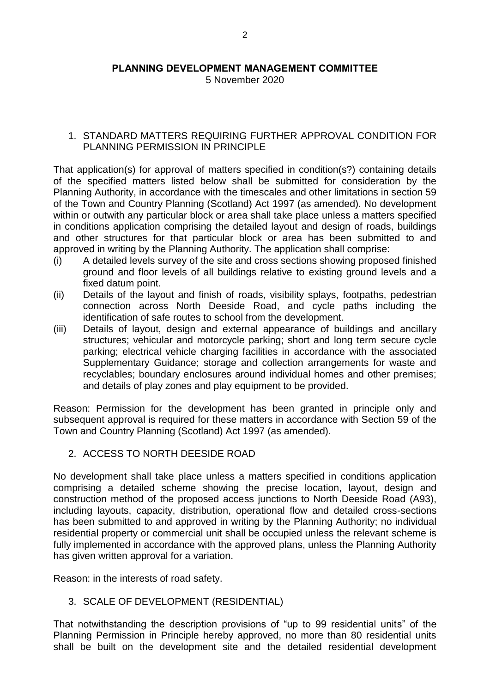5 November 2020

## 1. STANDARD MATTERS REQUIRING FURTHER APPROVAL CONDITION FOR PLANNING PERMISSION IN PRINCIPLE

That application(s) for approval of matters specified in condition(s?) containing details of the specified matters listed below shall be submitted for consideration by the Planning Authority, in accordance with the timescales and other limitations in section 59 of the Town and Country Planning (Scotland) Act 1997 (as amended). No development within or outwith any particular block or area shall take place unless a matters specified in conditions application comprising the detailed layout and design of roads, buildings and other structures for that particular block or area has been submitted to and approved in writing by the Planning Authority. The application shall comprise:

- (i) A detailed levels survey of the site and cross sections showing proposed finished ground and floor levels of all buildings relative to existing ground levels and a fixed datum point.
- (ii) Details of the layout and finish of roads, visibility splays, footpaths, pedestrian connection across North Deeside Road, and cycle paths including the identification of safe routes to school from the development.
- (iii) Details of layout, design and external appearance of buildings and ancillary structures; vehicular and motorcycle parking; short and long term secure cycle parking; electrical vehicle charging facilities in accordance with the associated Supplementary Guidance; storage and collection arrangements for waste and recyclables; boundary enclosures around individual homes and other premises; and details of play zones and play equipment to be provided.

Reason: Permission for the development has been granted in principle only and subsequent approval is required for these matters in accordance with Section 59 of the Town and Country Planning (Scotland) Act 1997 (as amended).

2. ACCESS TO NORTH DEESIDE ROAD

No development shall take place unless a matters specified in conditions application comprising a detailed scheme showing the precise location, layout, design and construction method of the proposed access junctions to North Deeside Road (A93), including layouts, capacity, distribution, operational flow and detailed cross-sections has been submitted to and approved in writing by the Planning Authority; no individual residential property or commercial unit shall be occupied unless the relevant scheme is fully implemented in accordance with the approved plans, unless the Planning Authority has given written approval for a variation.

Reason: in the interests of road safety.

# 3. SCALE OF DEVELOPMENT (RESIDENTIAL)

That notwithstanding the description provisions of "up to 99 residential units" of the Planning Permission in Principle hereby approved, no more than 80 residential units shall be built on the development site and the detailed residential development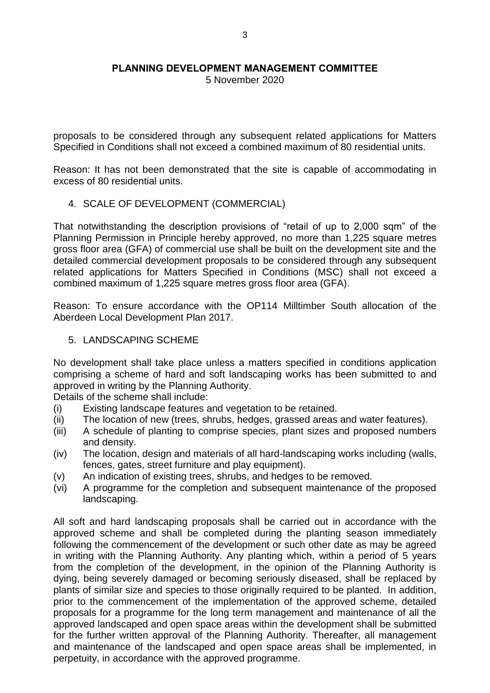5 November 2020

proposals to be considered through any subsequent related applications for Matters Specified in Conditions shall not exceed a combined maximum of 80 residential units.

Reason: It has not been demonstrated that the site is capable of accommodating in excess of 80 residential units.

## 4. SCALE OF DEVELOPMENT (COMMERCIAL)

That notwithstanding the description provisions of "retail of up to 2,000 sqm" of the Planning Permission in Principle hereby approved, no more than 1,225 square metres gross floor area (GFA) of commercial use shall be built on the development site and the detailed commercial development proposals to be considered through any subsequent related applications for Matters Specified in Conditions (MSC) shall not exceed a combined maximum of 1,225 square metres gross floor area (GFA).

Reason: To ensure accordance with the OP114 Milltimber South allocation of the Aberdeen Local Development Plan 2017.

## 5. LANDSCAPING SCHEME

No development shall take place unless a matters specified in conditions application comprising a scheme of hard and soft landscaping works has been submitted to and approved in writing by the Planning Authority.

Details of the scheme shall include:

- (i) Existing landscape features and vegetation to be retained.
- (ii) The location of new (trees, shrubs, hedges, grassed areas and water features).
- (iii) A schedule of planting to comprise species, plant sizes and proposed numbers and density.
- (iv) The location, design and materials of all hard-landscaping works including (walls, fences, gates, street furniture and play equipment).
- (v) An indication of existing trees, shrubs, and hedges to be removed.
- (vi) A programme for the completion and subsequent maintenance of the proposed landscaping.

All soft and hard landscaping proposals shall be carried out in accordance with the approved scheme and shall be completed during the planting season immediately following the commencement of the development or such other date as may be agreed in writing with the Planning Authority. Any planting which, within a period of 5 years from the completion of the development, in the opinion of the Planning Authority is dying, being severely damaged or becoming seriously diseased, shall be replaced by plants of similar size and species to those originally required to be planted. In addition, prior to the commencement of the implementation of the approved scheme, detailed proposals for a programme for the long term management and maintenance of all the approved landscaped and open space areas within the development shall be submitted for the further written approval of the Planning Authority. Thereafter, all management and maintenance of the landscaped and open space areas shall be implemented, in perpetuity, in accordance with the approved programme.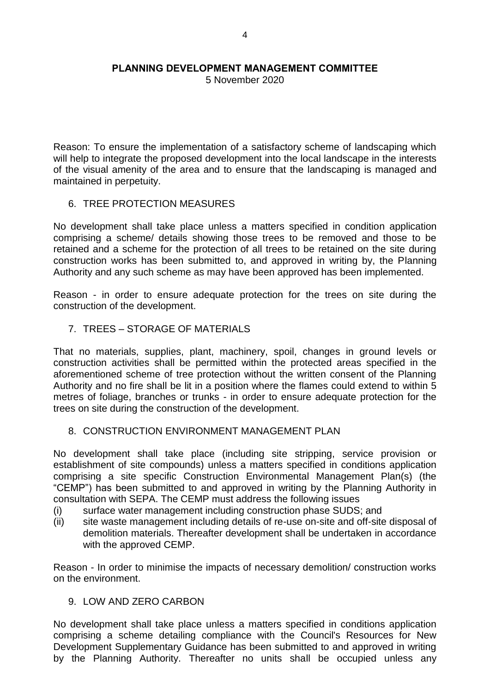5 November 2020

Reason: To ensure the implementation of a satisfactory scheme of landscaping which will help to integrate the proposed development into the local landscape in the interests of the visual amenity of the area and to ensure that the landscaping is managed and maintained in perpetuity.

## 6. TREE PROTECTION MEASURES

No development shall take place unless a matters specified in condition application comprising a scheme/ details showing those trees to be removed and those to be retained and a scheme for the protection of all trees to be retained on the site during construction works has been submitted to, and approved in writing by, the Planning Authority and any such scheme as may have been approved has been implemented.

Reason - in order to ensure adequate protection for the trees on site during the construction of the development.

## 7. TREES – STORAGE OF MATERIALS

That no materials, supplies, plant, machinery, spoil, changes in ground levels or construction activities shall be permitted within the protected areas specified in the aforementioned scheme of tree protection without the written consent of the Planning Authority and no fire shall be lit in a position where the flames could extend to within 5 metres of foliage, branches or trunks - in order to ensure adequate protection for the trees on site during the construction of the development.

## 8. CONSTRUCTION ENVIRONMENT MANAGEMENT PLAN

No development shall take place (including site stripping, service provision or establishment of site compounds) unless a matters specified in conditions application comprising a site specific Construction Environmental Management Plan(s) (the "CEMP") has been submitted to and approved in writing by the Planning Authority in consultation with SEPA. The CEMP must address the following issues

(i) surface water management including construction phase SUDS; and

(ii) site waste management including details of re-use on-site and off-site disposal of demolition materials. Thereafter development shall be undertaken in accordance with the approved CEMP.

Reason - In order to minimise the impacts of necessary demolition/ construction works on the environment.

## 9. LOW AND ZERO CARBON

No development shall take place unless a matters specified in conditions application comprising a scheme detailing compliance with the Council's Resources for New Development Supplementary Guidance has been submitted to and approved in writing by the Planning Authority. Thereafter no units shall be occupied unless any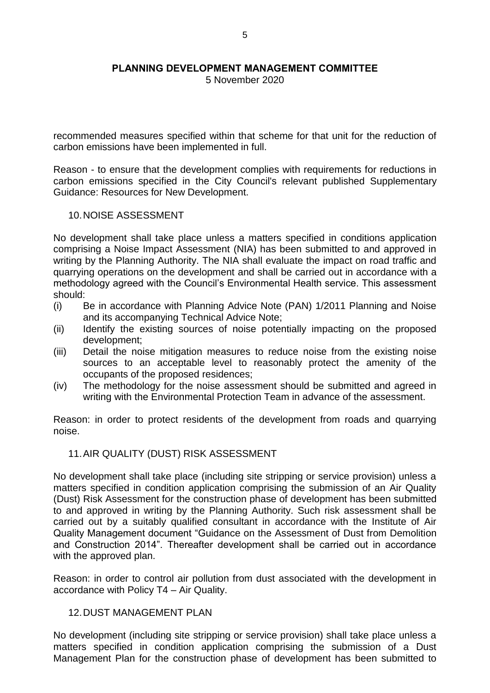5 November 2020

recommended measures specified within that scheme for that unit for the reduction of carbon emissions have been implemented in full.

Reason - to ensure that the development complies with requirements for reductions in carbon emissions specified in the City Council's relevant published Supplementary Guidance: Resources for New Development.

#### 10.NOISE ASSESSMENT

No development shall take place unless a matters specified in conditions application comprising a Noise Impact Assessment (NIA) has been submitted to and approved in writing by the Planning Authority. The NIA shall evaluate the impact on road traffic and quarrying operations on the development and shall be carried out in accordance with a methodology agreed with the Council's Environmental Health service. This assessment should:

- (i) Be in accordance with Planning Advice Note (PAN) 1/2011 Planning and Noise and its accompanying Technical Advice Note;
- (ii) Identify the existing sources of noise potentially impacting on the proposed development;
- (iii) Detail the noise mitigation measures to reduce noise from the existing noise sources to an acceptable level to reasonably protect the amenity of the occupants of the proposed residences;
- (iv) The methodology for the noise assessment should be submitted and agreed in writing with the Environmental Protection Team in advance of the assessment.

Reason: in order to protect residents of the development from roads and quarrying noise.

## 11.AIR QUALITY (DUST) RISK ASSESSMENT

No development shall take place (including site stripping or service provision) unless a matters specified in condition application comprising the submission of an Air Quality (Dust) Risk Assessment for the construction phase of development has been submitted to and approved in writing by the Planning Authority. Such risk assessment shall be carried out by a suitably qualified consultant in accordance with the Institute of Air Quality Management document "Guidance on the Assessment of Dust from Demolition and Construction 2014". Thereafter development shall be carried out in accordance with the approved plan.

Reason: in order to control air pollution from dust associated with the development in accordance with Policy T4 – Air Quality.

## 12. DUST MANAGEMENT PLAN

No development (including site stripping or service provision) shall take place unless a matters specified in condition application comprising the submission of a Dust Management Plan for the construction phase of development has been submitted to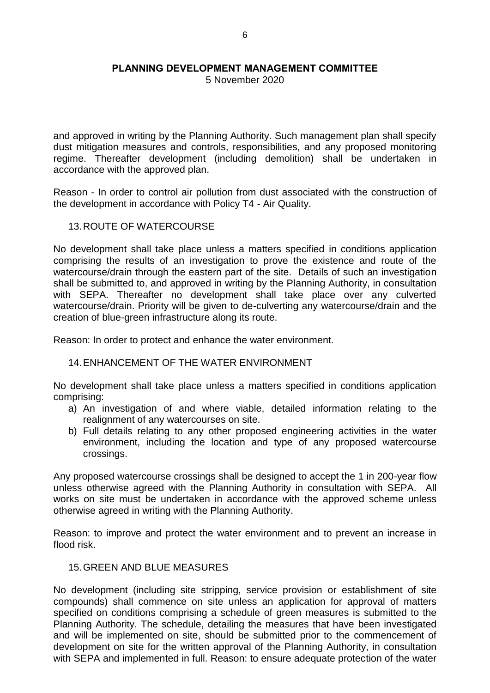5 November 2020

and approved in writing by the Planning Authority. Such management plan shall specify dust mitigation measures and controls, responsibilities, and any proposed monitoring regime. Thereafter development (including demolition) shall be undertaken in accordance with the approved plan.

Reason - In order to control air pollution from dust associated with the construction of the development in accordance with Policy T4 - Air Quality.

#### 13.ROUTE OF WATERCOURSE

No development shall take place unless a matters specified in conditions application comprising the results of an investigation to prove the existence and route of the watercourse/drain through the eastern part of the site. Details of such an investigation shall be submitted to, and approved in writing by the Planning Authority, in consultation with SEPA. Thereafter no development shall take place over any culverted watercourse/drain. Priority will be given to de-culverting any watercourse/drain and the creation of blue-green infrastructure along its route.

Reason: In order to protect and enhance the water environment.

## 14.ENHANCEMENT OF THE WATER ENVIRONMENT

No development shall take place unless a matters specified in conditions application comprising:

- a) An investigation of and where viable, detailed information relating to the realignment of any watercourses on site.
- b) Full details relating to any other proposed engineering activities in the water environment, including the location and type of any proposed watercourse crossings.

Any proposed watercourse crossings shall be designed to accept the 1 in 200-year flow unless otherwise agreed with the Planning Authority in consultation with SEPA. All works on site must be undertaken in accordance with the approved scheme unless otherwise agreed in writing with the Planning Authority.

Reason: to improve and protect the water environment and to prevent an increase in flood risk.

## 15.GREEN AND BLUE MEASURES

No development (including site stripping, service provision or establishment of site compounds) shall commence on site unless an application for approval of matters specified on conditions comprising a schedule of green measures is submitted to the Planning Authority. The schedule, detailing the measures that have been investigated and will be implemented on site, should be submitted prior to the commencement of development on site for the written approval of the Planning Authority, in consultation with SEPA and implemented in full. Reason: to ensure adequate protection of the water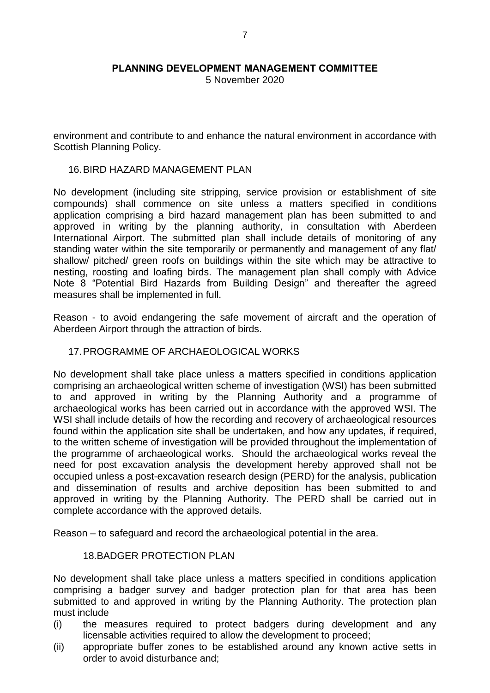5 November 2020

environment and contribute to and enhance the natural environment in accordance with Scottish Planning Policy.

## 16.BIRD HAZARD MANAGEMENT PLAN

No development (including site stripping, service provision or establishment of site compounds) shall commence on site unless a matters specified in conditions application comprising a bird hazard management plan has been submitted to and approved in writing by the planning authority, in consultation with Aberdeen International Airport. The submitted plan shall include details of monitoring of any standing water within the site temporarily or permanently and management of any flat/ shallow/ pitched/ green roofs on buildings within the site which may be attractive to nesting, roosting and loafing birds. The management plan shall comply with Advice Note 8 "Potential Bird Hazards from Building Design" and thereafter the agreed measures shall be implemented in full.

Reason - to avoid endangering the safe movement of aircraft and the operation of Aberdeen Airport through the attraction of birds.

## 17.PROGRAMME OF ARCHAEOLOGICAL WORKS

No development shall take place unless a matters specified in conditions application comprising an archaeological written scheme of investigation (WSI) has been submitted to and approved in writing by the Planning Authority and a programme of archaeological works has been carried out in accordance with the approved WSI. The WSI shall include details of how the recording and recovery of archaeological resources found within the application site shall be undertaken, and how any updates, if required, to the written scheme of investigation will be provided throughout the implementation of the programme of archaeological works. Should the archaeological works reveal the need for post excavation analysis the development hereby approved shall not be occupied unless a post-excavation research design (PERD) for the analysis, publication and dissemination of results and archive deposition has been submitted to and approved in writing by the Planning Authority. The PERD shall be carried out in complete accordance with the approved details.

Reason – to safeguard and record the archaeological potential in the area.

## 18.BADGER PROTECTION PLAN

No development shall take place unless a matters specified in conditions application comprising a badger survey and badger protection plan for that area has been submitted to and approved in writing by the Planning Authority. The protection plan must include

- (i) the measures required to protect badgers during development and any licensable activities required to allow the development to proceed;
- (ii) appropriate buffer zones to be established around any known active setts in order to avoid disturbance and;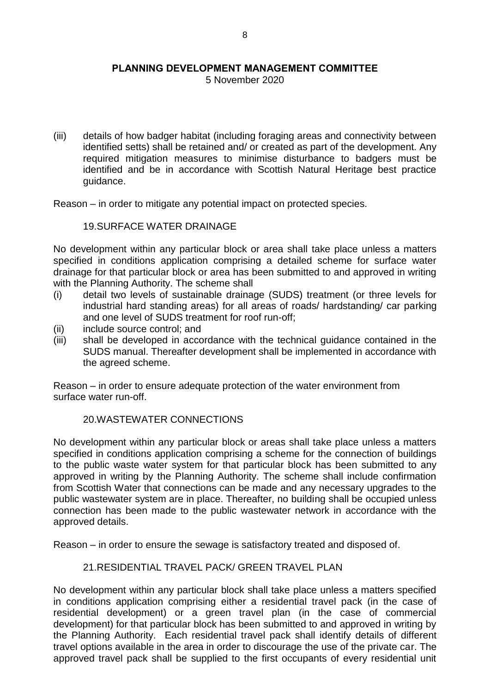5 November 2020

(iii) details of how badger habitat (including foraging areas and connectivity between identified setts) shall be retained and/ or created as part of the development. Any required mitigation measures to minimise disturbance to badgers must be identified and be in accordance with Scottish Natural Heritage best practice guidance.

Reason – in order to mitigate any potential impact on protected species.

#### 19.SURFACE WATER DRAINAGE

No development within any particular block or area shall take place unless a matters specified in conditions application comprising a detailed scheme for surface water drainage for that particular block or area has been submitted to and approved in writing with the Planning Authority. The scheme shall

- (i) detail two levels of sustainable drainage (SUDS) treatment (or three levels for industrial hard standing areas) for all areas of roads/ hardstanding/ car parking and one level of SUDS treatment for roof run-off;
- (ii) include source control; and
- (iii) shall be developed in accordance with the technical guidance contained in the SUDS manual. Thereafter development shall be implemented in accordance with the agreed scheme.

Reason – in order to ensure adequate protection of the water environment from surface water run-off.

## 20.WASTEWATER CONNECTIONS

No development within any particular block or areas shall take place unless a matters specified in conditions application comprising a scheme for the connection of buildings to the public waste water system for that particular block has been submitted to any approved in writing by the Planning Authority. The scheme shall include confirmation from Scottish Water that connections can be made and any necessary upgrades to the public wastewater system are in place. Thereafter, no building shall be occupied unless connection has been made to the public wastewater network in accordance with the approved details.

Reason – in order to ensure the sewage is satisfactory treated and disposed of.

## 21.RESIDENTIAL TRAVEL PACK/ GREEN TRAVEL PLAN

No development within any particular block shall take place unless a matters specified in conditions application comprising either a residential travel pack (in the case of residential development) or a green travel plan (in the case of commercial development) for that particular block has been submitted to and approved in writing by the Planning Authority. Each residential travel pack shall identify details of different travel options available in the area in order to discourage the use of the private car. The approved travel pack shall be supplied to the first occupants of every residential unit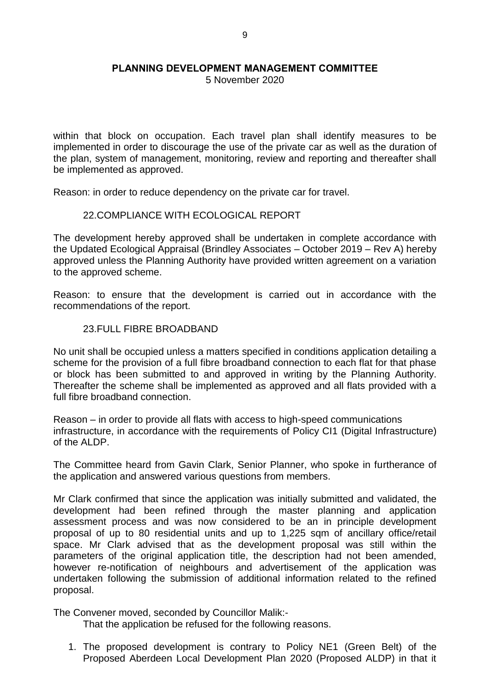5 November 2020

within that block on occupation. Each travel plan shall identify measures to be implemented in order to discourage the use of the private car as well as the duration of the plan, system of management, monitoring, review and reporting and thereafter shall be implemented as approved.

Reason: in order to reduce dependency on the private car for travel.

#### 22.COMPLIANCE WITH ECOLOGICAL REPORT

The development hereby approved shall be undertaken in complete accordance with the Updated Ecological Appraisal (Brindley Associates – October 2019 – Rev A) hereby approved unless the Planning Authority have provided written agreement on a variation to the approved scheme.

Reason: to ensure that the development is carried out in accordance with the recommendations of the report.

## 23.FULL FIBRE BROADBAND

No unit shall be occupied unless a matters specified in conditions application detailing a scheme for the provision of a full fibre broadband connection to each flat for that phase or block has been submitted to and approved in writing by the Planning Authority. Thereafter the scheme shall be implemented as approved and all flats provided with a full fibre broadband connection.

Reason – in order to provide all flats with access to high-speed communications infrastructure, in accordance with the requirements of Policy CI1 (Digital Infrastructure) of the ALDP.

The Committee heard from Gavin Clark, Senior Planner, who spoke in furtherance of the application and answered various questions from members.

Mr Clark confirmed that since the application was initially submitted and validated, the development had been refined through the master planning and application assessment process and was now considered to be an in principle development proposal of up to 80 residential units and up to 1,225 sqm of ancillary office/retail space. Mr Clark advised that as the development proposal was still within the parameters of the original application title, the description had not been amended, however re-notification of neighbours and advertisement of the application was undertaken following the submission of additional information related to the refined proposal.

The Convener moved, seconded by Councillor Malik:-

That the application be refused for the following reasons.

1. The proposed development is contrary to Policy NE1 (Green Belt) of the Proposed Aberdeen Local Development Plan 2020 (Proposed ALDP) in that it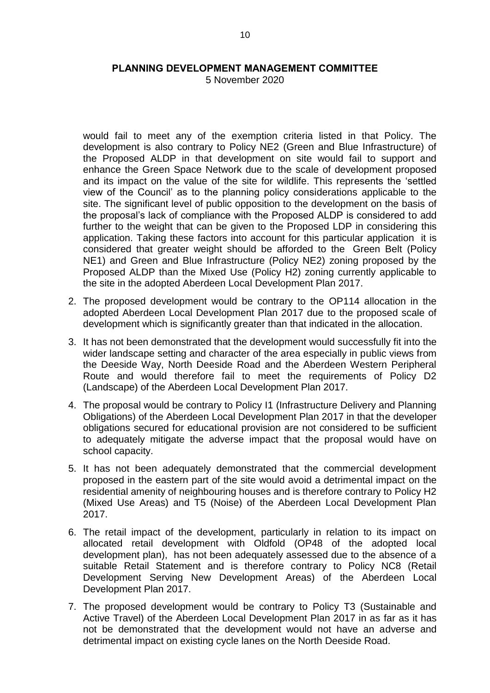5 November 2020

would fail to meet any of the exemption criteria listed in that Policy. The development is also contrary to Policy NE2 (Green and Blue Infrastructure) of the Proposed ALDP in that development on site would fail to support and enhance the Green Space Network due to the scale of development proposed and its impact on the value of the site for wildlife. This represents the 'settled view of the Council' as to the planning policy considerations applicable to the site. The significant level of public opposition to the development on the basis of the proposal's lack of compliance with the Proposed ALDP is considered to add further to the weight that can be given to the Proposed LDP in considering this application. Taking these factors into account for this particular application it is considered that greater weight should be afforded to the Green Belt (Policy NE1) and Green and Blue Infrastructure (Policy NE2) zoning proposed by the Proposed ALDP than the Mixed Use (Policy H2) zoning currently applicable to the site in the adopted Aberdeen Local Development Plan 2017.

- 2. The proposed development would be contrary to the OP114 allocation in the adopted Aberdeen Local Development Plan 2017 due to the proposed scale of development which is significantly greater than that indicated in the allocation.
- 3. It has not been demonstrated that the development would successfully fit into the wider landscape setting and character of the area especially in public views from the Deeside Way, North Deeside Road and the Aberdeen Western Peripheral Route and would therefore fail to meet the requirements of Policy D2 (Landscape) of the Aberdeen Local Development Plan 2017.
- 4. The proposal would be contrary to Policy I1 (Infrastructure Delivery and Planning Obligations) of the Aberdeen Local Development Plan 2017 in that the developer obligations secured for educational provision are not considered to be sufficient to adequately mitigate the adverse impact that the proposal would have on school capacity.
- 5. It has not been adequately demonstrated that the commercial development proposed in the eastern part of the site would avoid a detrimental impact on the residential amenity of neighbouring houses and is therefore contrary to Policy H2 (Mixed Use Areas) and T5 (Noise) of the Aberdeen Local Development Plan 2017.
- 6. The retail impact of the development, particularly in relation to its impact on allocated retail development with Oldfold (OP48 of the adopted local development plan), has not been adequately assessed due to the absence of a suitable Retail Statement and is therefore contrary to Policy NC8 (Retail Development Serving New Development Areas) of the Aberdeen Local Development Plan 2017.
- 7. The proposed development would be contrary to Policy T3 (Sustainable and Active Travel) of the Aberdeen Local Development Plan 2017 in as far as it has not be demonstrated that the development would not have an adverse and detrimental impact on existing cycle lanes on the North Deeside Road.